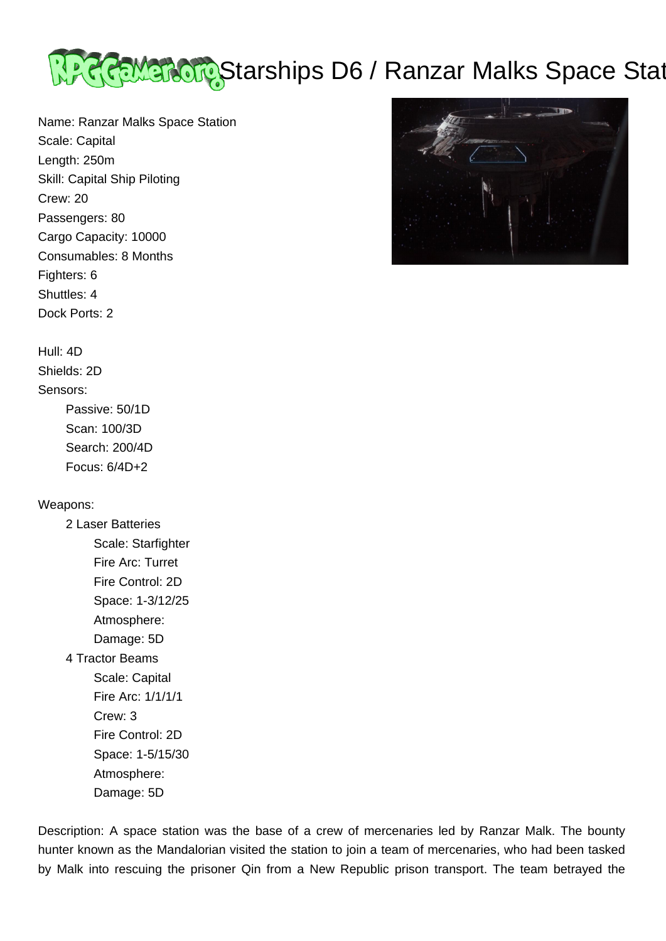

Name: Ranzar Malks Space Station Scale: Capital Length: 250m Skill: Capital Ship Piloting Crew: 20 Passengers: 80 Cargo Capacity: 10000 Consumables: 8 Months Fighters: 6 Shuttles: 4 Dock Ports: 2

## Hull: 4D

Shields: 2D

## Sensors:

 Passive: 50/1D Scan: 100/3D Search: 200/4D Focus: 6/4D+2

## Weapons:

 2 Laser Batteries Scale: Starfighter Fire Arc: Turret Fire Control: 2D Space: 1-3/12/25 Atmosphere: Damage: 5D

4 Tractor Beams

 Scale: Capital Fire Arc: 1/1/1/1 Crew: 3 Fire Control: 2D Space: 1-5/15/30 Atmosphere: Damage: 5D

Description: A space station was the base of a crew of mercenaries led by Ranzar Malk. The bounty hunter known as the Mandalorian visited the station to join a team of mercenaries, who had been tasked by Malk into rescuing the prisoner Qin from a New Republic prison transport. The team betrayed the